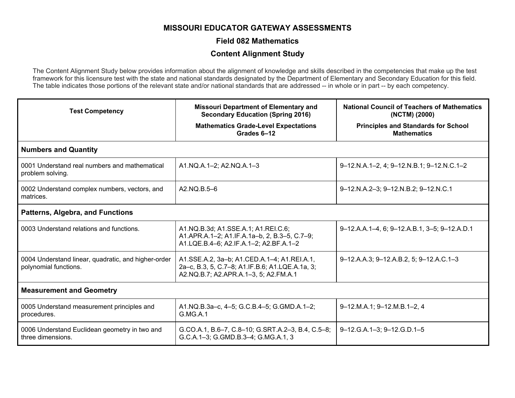## **MISSOURI EDUCATOR GATEWAY ASSESSMENTS**

#### **Field 082 Mathematics**

### **Content Alignment Study**

The Content Alignment Study below provides information about the alignment of knowledge and skills described in the competencies that make up the test framework for this licensure test with the state and national standards designated by the Department of Elementary and Secondary Education for this field. The table indicates those portions of the relevant state and/or national standards that are addressed -- in whole or in part -- by each competency.

| <b>Test Competency</b>                                                       | <b>Missouri Department of Elementary and</b><br><b>Secondary Education (Spring 2016)</b>                                                | <b>National Council of Teachers of Mathematics</b><br>(NCTM) (2000) |  |
|------------------------------------------------------------------------------|-----------------------------------------------------------------------------------------------------------------------------------------|---------------------------------------------------------------------|--|
|                                                                              | <b>Mathematics Grade-Level Expectations</b><br>Grades 6-12                                                                              | <b>Principles and Standards for School</b><br><b>Mathematics</b>    |  |
| <b>Numbers and Quantity</b>                                                  |                                                                                                                                         |                                                                     |  |
| 0001 Understand real numbers and mathematical<br>problem solving.            | A1.NQ.A.1-2; A2.NQ.A.1-3                                                                                                                | 9-12.N.A.1-2, 4; 9-12.N.B.1; 9-12.N.C.1-2                           |  |
| 0002 Understand complex numbers, vectors, and<br>matrices.                   | A2.NQ.B.5-6                                                                                                                             | 9-12.N.A.2-3; 9-12.N.B.2; 9-12.N.C.1                                |  |
| <b>Patterns, Algebra, and Functions</b>                                      |                                                                                                                                         |                                                                     |  |
| 0003 Understand relations and functions.                                     | A1.NQ.B.3d; A1.SSE.A.1; A1.REI.C.6;<br>A1.APR.A.1-2; A1.IF.A.1a-b, 2, B.3-5, C.7-9;<br>A1.LQE.B.4-6; A2.IF.A.1-2; A2.BF.A.1-2           | 9-12.A.A.1-4, 6; 9-12.A.B.1, 3-5; 9-12.A.D.1                        |  |
| 0004 Understand linear, quadratic, and higher-order<br>polynomial functions. | A1.SSE.A.2, 3a-b; A1.CED.A.1-4; A1.REI.A.1,<br>2a-c, B.3, 5, C.7-8; A1.IF.B.6; A1.LQE.A.1a, 3;<br>A2.NQ.B.7; A2.APR.A.1-3, 5; A2.FM.A.1 | 9-12.A.A.3; 9-12.A.B.2, 5; 9-12.A.C.1-3                             |  |
| <b>Measurement and Geometry</b>                                              |                                                                                                                                         |                                                                     |  |
| 0005 Understand measurement principles and<br>procedures.                    | A1.NQ.B.3a-c, 4-5; G.C.B.4-5; G.GMD.A.1-2;<br><b>G.MG.A.1</b>                                                                           | 9-12.M.A.1; 9-12.M.B.1-2, 4                                         |  |
| 0006 Understand Euclidean geometry in two and<br>three dimensions.           | G.CO.A.1, B.6-7, C.8-10; G.SRT.A.2-3, B.4, C.5-8;<br>G.C.A.1-3; G.GMD.B.3-4; G.MG.A.1, 3                                                | 9-12.G.A.1-3; 9-12.G.D.1-5                                          |  |